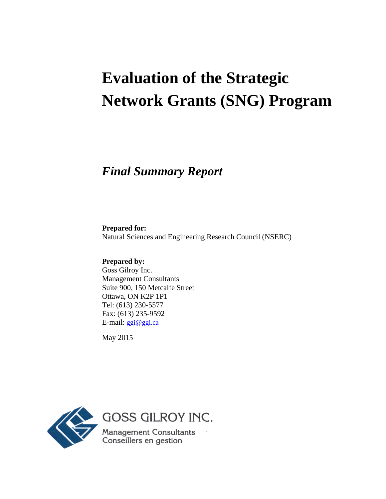# **Evaluation of the Strategic Network Grants (SNG) Program**

## *Final Summary Report*

**Prepared for:** Natural Sciences and Engineering Research Council (NSERC)

**Prepared by:** Goss Gilroy Inc. Management Consultants Suite 900, 150 Metcalfe Street Ottawa, ON K2P 1P1 Tel: (613) 230-5577 Fax: (613) 235-9592 E-mail: ggi@ggi.ca

May 2015

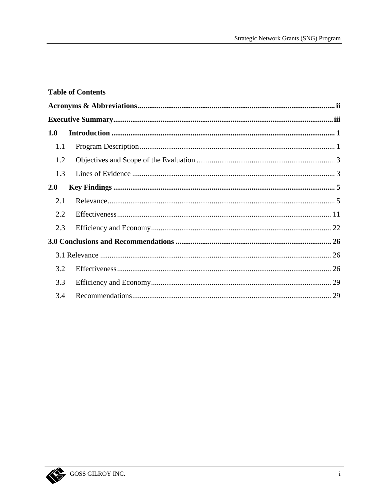## **Table of Contents**

| 1.0 |  |  |  |  |
|-----|--|--|--|--|
| 1.1 |  |  |  |  |
| 1.2 |  |  |  |  |
| 1.3 |  |  |  |  |
| 2.0 |  |  |  |  |
| 2.1 |  |  |  |  |
| 2.2 |  |  |  |  |
| 2.3 |  |  |  |  |
|     |  |  |  |  |
|     |  |  |  |  |
| 3.2 |  |  |  |  |
| 3.3 |  |  |  |  |
| 3.4 |  |  |  |  |

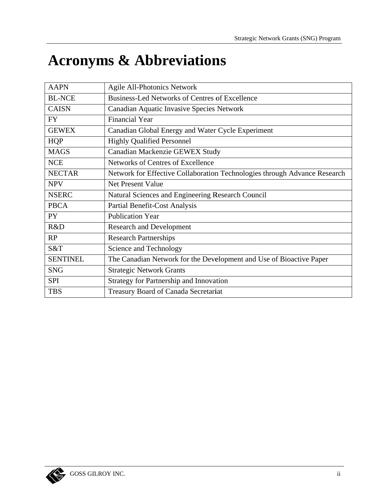# **Acronyms & Abbreviations**

| <b>AAPN</b>     | Agile All-Photonics Network                                               |
|-----------------|---------------------------------------------------------------------------|
| <b>BL-NCE</b>   | <b>Business-Led Networks of Centres of Excellence</b>                     |
| <b>CAISN</b>    | Canadian Aquatic Invasive Species Network                                 |
| <b>FY</b>       | <b>Financial Year</b>                                                     |
| <b>GEWEX</b>    | Canadian Global Energy and Water Cycle Experiment                         |
| <b>HQP</b>      | <b>Highly Qualified Personnel</b>                                         |
| <b>MAGS</b>     | Canadian Mackenzie GEWEX Study                                            |
| <b>NCE</b>      | Networks of Centres of Excellence                                         |
| <b>NECTAR</b>   | Network for Effective Collaboration Technologies through Advance Research |
| <b>NPV</b>      | <b>Net Present Value</b>                                                  |
| <b>NSERC</b>    | Natural Sciences and Engineering Research Council                         |
| <b>PBCA</b>     | Partial Benefit-Cost Analysis                                             |
| PY <sub>1</sub> | <b>Publication Year</b>                                                   |
| R&D             | <b>Research and Development</b>                                           |
| RP              | <b>Research Partnerships</b>                                              |
| S&T             | Science and Technology                                                    |
| <b>SENTINEL</b> | The Canadian Network for the Development and Use of Bioactive Paper       |
| <b>SNG</b>      | <b>Strategic Network Grants</b>                                           |
| <b>SPI</b>      | <b>Strategy for Partnership and Innovation</b>                            |
| <b>TBS</b>      | Treasury Board of Canada Secretariat                                      |

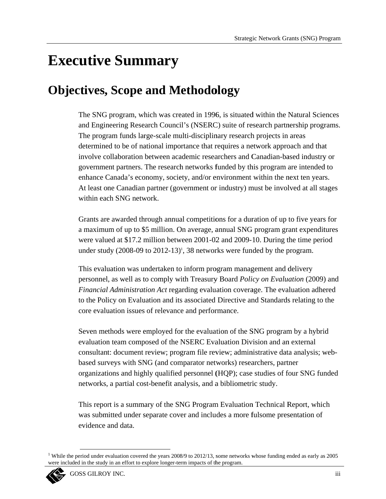# **Executive Summary**

# **Objectives, Scope and Methodology**

The SNG program, which was created in 1996, is situated within the Natural Sciences and Engineering Research Council's (NSERC) suite of research partnership programs. The program funds large-scale multi-disciplinary research projects in areas determined to be of national importance that requires a network approach and that involve collaboration between academic researchers and Canadian-based industry or government partners. The research networks funded by this program are intended to enhance Canada's economy, society, and/or environment within the next ten years. At least one Canadian partner (government or industry) must be involved at all stages within each SNG network.

Grants are awarded through annual competitions for a duration of up to five years for a maximum of up to \$5 million. On average, annual SNG program grant expenditures were valued at \$17.2 million between 2001-02 and 2009-10. During the time period under study  $(2008-09)$  to  $2012-13$ <sup>1</sup>, 38 networks were funded by the program.

This evaluation was undertaken to inform program management and delivery personnel, as well as to comply with Treasury Board *Policy on Evaluation* (2009) and *Financial Administration Act* regarding evaluation coverage. The evaluation adhered to the Policy on Evaluation and its associated Directive and Standards relating to the core evaluation issues of relevance and performance.

Seven methods were employed for the evaluation of the SNG program by a hybrid evaluation team composed of the NSERC Evaluation Division and an external consultant: document review; program file review; administrative data analysis; webbased surveys with SNG (and comparator networks) researchers, partner organizations and highly qualified personnel (HQP); case studies of four SNG funded networks, a partial cost-benefit analysis, and a bibliometric study.

This report is a summary of the SNG Program Evaluation Technical Report, which was submitted under separate cover and includes a more fulsome presentation of evidence and data.

<sup>&</sup>lt;sup>1</sup> While the period under evaluation covered the years 2008/9 to 2012/13, some networks whose funding ended as early as 2005 were included in the study in an effort to explore longer-term impacts of the program.

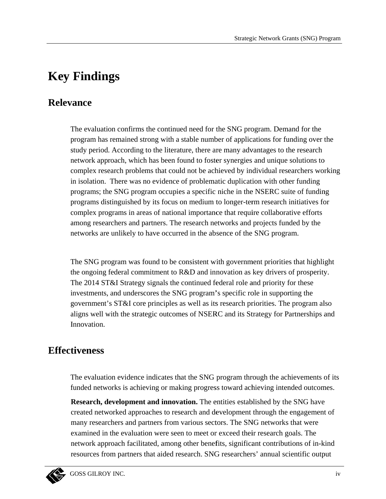# **Key Findings**

## **Relevance**

The evaluation confirms the continued need for the SNG program. Demand for the program has remained strong with a stable number of applications for funding over the study period. According to the literature, there are many advantages to the research network approach, which has been found to foster synergies and unique solutions to complex research problems that could not be achieved by individual researchers working in isolation. There was no evidence of problematic duplication with other funding programs; the SNG program occupies a specific niche in the NSERC suite of funding programs distinguished by its focus on medium to longer-term research initiatives for complex programs in areas of national importance that require collaborative efforts among researchers and partners. The research networks and projects funded by the networks are unlikely to have occurred in the absence of the SNG program.

The SNG program was found to be consistent with government priorities that highlight the ongoing federal commitment to  $R\&D$  and innovation as key drivers of prosperity. The 2014 ST&I Strategy signals the continued federal role and priority for these investments, and underscores the SNG program's specific role in supporting the government's ST&I core principles as well as its research priorities. The program also aligns well with the strategic outcomes of NSERC and its Strategy for Partnerships and Innovation.

## **Effectiveness**

The evaluation evidence indicates that the SNG program through the achievements of its funded networks is achieving or making progress toward achieving intended outcomes.

**Research, development and innovation.** The entities established by the SNG have created networked approaches to research and development through the engagement of many researchers and partners from various sectors. The SNG networks that were examined in the evaluation were seen to meet or exceed their research goals. The network approach facilitated, among other benefits, significant contributions of in-kind resources from partners that aided research. SNG researchers' annual scientific output

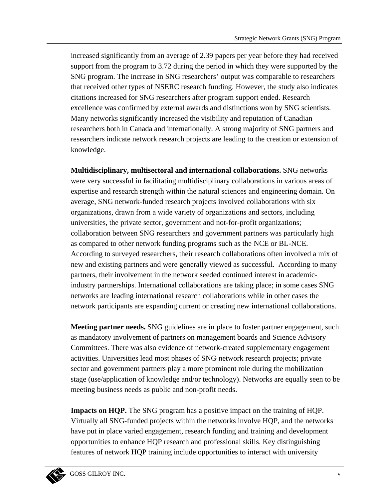increased significantly from an average of 2.39 papers per year before they had received support from the program to 3.72 during the period in which they were supported by the SNG program. The increase in SNG researchers' output was comparable to researchers that received other types of NSERC research funding. However, the study also indicates citations increased for SNG researchers after program support ended. Research excellence was confirmed by external awards and distinctions won by SNG scientists. Many networks significantly increased the visibility and reputation of Canadian researchers both in Canada and internationally. A strong majority of SNG partners and researchers indicate network research projects are leading to the creation or extension of knowledge.

Multidisciplinary, multisectoral and international collaborations. SNG networks were very successful in facilitating multidisciplinary collaborations in various areas of expertise and research strength within the natural sciences and engineering domain. On average, SNG network-funded research projects involved collaborations with six organizations, drawn from a wide variety of organizations and sectors, including universities, the private sector, government and not-for-profit organizations; collaboration between SNG researchers and government partners was particularly high as compared to other network funding programs such as the NCE or BL-NCE. According to surveyed researchers, their research collaborations often involved a mix of new and existing partners and were generally viewed as successful. According to many partners, their involvement in the network seeded continued interest in academicindustry partnerships. International collaborations are taking place; in some cases SNG networks are leading international research collaborations while in other cases the network participants are expanding current or creating new international collaborations.

**Meeting partner needs.** SNG guidelines are in place to foster partner engagement, such as mandatory involvement of partners on management boards and Science Advisory Committees. There was also evidence of network-created supplementary engagement activities. Universities lead most phases of SNG network research projects; private sector and government partners play a more prominent role during the mobilization stage (use/application of knowledge and/or technology). Networks are equally seen to be meeting business needs as public and non-profit needs.

**Impacts on HQP.** The SNG program has a positive impact on the training of HQP. Virtually all SNG-funded projects within the networks involve HQP, and the networks have put in place varied engagement, research funding and training and development opportunities to enhance HQP research and professional skills. Key distinguishing features of network HQP training include opportunities to interact with university

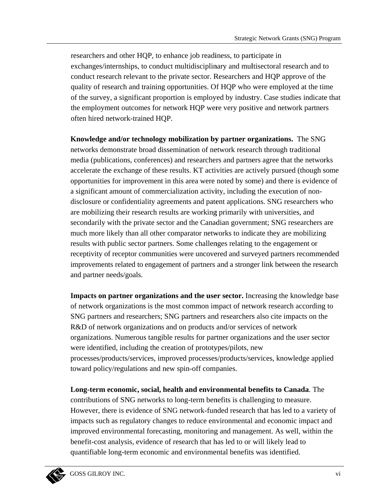researchers and other HQP, to enhance job readiness, to participate in exchanges/internships, to conduct multidisciplinary and multisectoral research and to conduct research relevant to the private sector. Researchers and HQP approve of the quality of research and training opportunities. Of HQP who were employed at the time of the survey, a significant proportion is employed by industry. Case studies indicate that the employment outcomes for network HQP were very positive and network partners often hired network-trained HQP.

Knowledge and/or technology mobilization by partner organizations. The SNG networks demonstrate broad dissemination of network research through traditional media (publications, conferences) and researchers and partners agree that the networks accelerate the exchange of these results. KT activities are actively pursued (though some opportunities for improvement in this area were noted by some) and there is evidence of a significant amount of commercialization activity, including the execution of nondisclosure or confidentiality agreements and patent applications. SNG researchers who are mobilizing their research results are working primarily with universities, and secondarily with the private sector and the Canadian government; SNG researchers are much more likely than all other comparator networks to indicate they are mobilizing results with public sector partners. Some challenges relating to the engagement or receptivity of receptor communities were uncovered and surveyed partners recommended improvements related to engagement of partners and a stronger link between the research and partner needs/goals.

Impacts on partner organizations and the user sector. Increasing the knowledge base of network organizations is the most common impact of network research according to SNG partners and researchers; SNG partners and researchers also cite impacts on the R&D of network organizations and on products and/or services of network organizations. Numerous tangible results for partner organizations and the user sector were identified, including the creation of prototypes/pilots, new processes/products/services, improved processes/products/services, knowledge applied toward policy/regulations and new spin-off companies.

Long-term economic, social, health and environmental benefits to Canada. The contributions of SNG networks to long-term benefits is challenging to measure. However, there is evidence of SNG network-funded research that has led to a variety of impacts such as regulatory changes to reduce environmental and economic impact and improved environmental forecasting, monitoring and management. As well, within the benefit-cost analysis, evidence of research that has led to or will likely lead to quantifiable long-term economic and environmental benefits was identified.

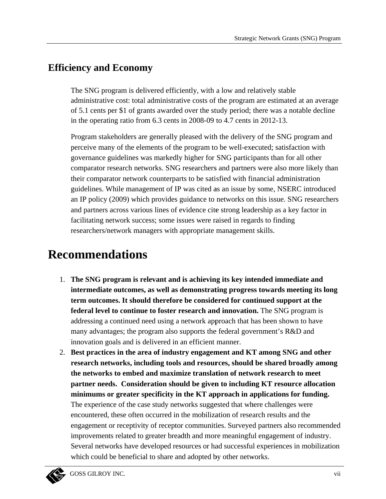## **Efficiency and Economy**

The SNG program is delivered efficiently, with a low and relatively stable administrative cost: total administrative costs of the program are estimated at an average of 5.1 cents per \$1 of grants awarded over the study period; there was a notable decline in the operating ratio from 6.3 cents in 2008-09 to 4.7 cents in 2012-13.

Program stakeholders are generally pleased with the delivery of the SNG program and perceive many of the elements of the program to be well-executed; satisfaction with governance guidelines was markedly higher for SNG participants than for all other comparator research networks. SNG researchers and partners were also more likely than their comparator network counterparts to be satisfied with financial administration guidelines. While management of IP was cited as an issue by some, NSERC introduced an IP policy (2009) which provides guidance to networks on this issue. SNG researchers and partners across various lines of evidence cite strong leadership as a key factor in facilitating network success; some issues were raised in regards to finding researchers/network managers with appropriate management skills.

# **Recommendations**

- 1. The SNG program is relevant and is achieving its key intended immediate and intermediate outcomes, as well as demonstrating progress towards meeting its long term outcomes. It should therefore be considered for continued support at the **federal level to continue to foster research and innovation.** The SNG program is addressing a continued need using a network approach that has been shown to have many advantages; the program also supports the federal government's R&D and innovation goals and is delivered in an efficient manner.
- 2. Best practices in the area of industry engagement and KT among SNG and other research networks, including tools and resources, should be shared broadly among the networks to embed and maximize translation of network research to meet partner needs. Consideration should be given to including KT resource allocation minimums or greater specificity in the KT approach in applications for funding. The experience of the case study networks suggested that where challenges were encountered, these often occurred in the mobilization of research results and the engagement or receptivity of receptor communities. Surveyed partners also recommended improvements related to greater breadth and more meaningful engagement of industry. Several networks have developed resources or had successful experiences in mobilization which could be beneficial to share and adopted by other networks.

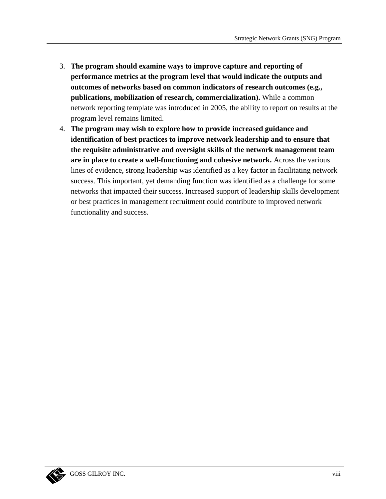- 3. The program should examine ways to improve capture and reporting of performance metrics at the program level that would indicate the outputs and outcomes of networks based on common indicators of research outcomes (e.g., publications, mobilization of research, commercialization). While a common network reporting template was introduced in 2005, the ability to report on results at the program level remains limited.
- 4. The program may wish to explore how to provide increased guidance and identification of best practices to improve network leadership and to ensure that the requisite administrative and oversight skills of the network management team are in place to create a well-functioning and cohesive network. Across the various lines of evidence, strong leadership was identified as a key factor in facilitating network success. This important, yet demanding function was identified as a challenge for some networks that impacted their success. Increased support of leadership skills development or best practices in management recruitment could contribute to improved network functionality and success.

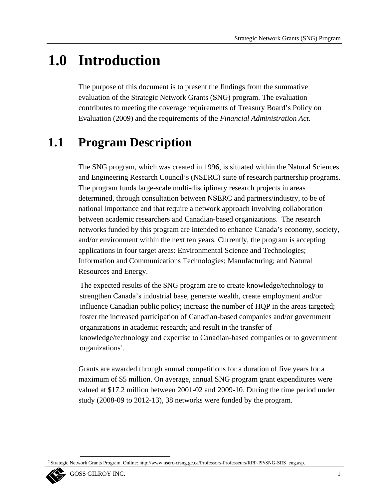# 1.0 Introduction

The purpose of this document is to present the findings from the summative evaluation of the Strategic Network Grants (SNG) program. The evaluation contributes to meeting the coverage requirements of Treasury Board's Policy on Evaluation (2009) and the requirements of the Financial Administration Act.

### **Program Description**  $1.1$

The SNG program, which was created in 1996, is situated within the Natural Sciences and Engineering Research Council's (NSERC) suite of research partnership programs. The program funds large-scale multi-disciplinary research projects in areas determined, through consultation between NSERC and partners/industry, to be of national importance and that require a network approach involving collaboration between academic researchers and Canadian-based organizations. The research networks funded by this program are intended to enhance Canada's economy, society, and/or environment within the next ten years. Currently, the program is accepting applications in four target areas: Environmental Science and Technologies; Information and Communications Technologies; Manufacturing; and Natural Resources and Energy.

The expected results of the SNG program are to create knowledge/technology to strengthen Canada's industrial base, generate wealth, create employment and/or influence Canadian public policy; increase the number of HQP in the areas targeted; foster the increased participation of Canadian-based companies and/or government organizations in academic research; and result in the transfer of knowledge/technology and expertise to Canadian-based companies or to government organizations<sup>2</sup>.

Grants are awarded through annual competitions for a duration of five years for a maximum of \$5 million. On average, annual SNG program grant expenditures were valued at  $$17.2$  million between 2001-02 and 2009-10. During the time period under study  $(2008-09)$  to  $2012-13$ , 38 networks were funded by the program.

Strategic Network Grants Program. Online: http://www.nserc-crsng.gc.ca/Professors-Professeurs/RPP-PP/SNG-SRS\_eng.asp.

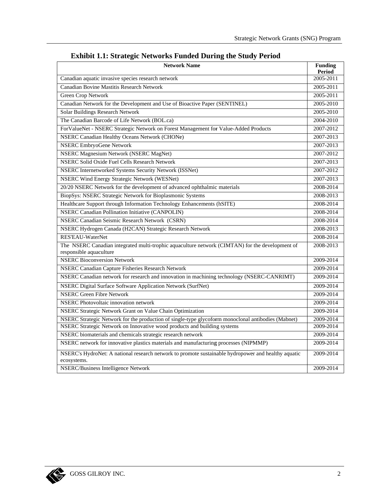| <b>Network Name</b>                                                                                                        | <b>Funding</b><br><b>Period</b> |
|----------------------------------------------------------------------------------------------------------------------------|---------------------------------|
| Canadian aquatic invasive species research network                                                                         | 2005-2011                       |
| Canadian Bovine Mastitis Research Network                                                                                  | 2005-2011                       |
| <b>Green Crop Network</b>                                                                                                  | 2005-2011                       |
| Canadian Network for the Development and Use of Bioactive Paper (SENTINEL)                                                 | 2005-2010                       |
| Solar Buildings Research Network                                                                                           | 2005-2010                       |
| The Canadian Barcode of Life Network (BOL.ca)                                                                              | 2004-2010                       |
| ForValueNet - NSERC Strategic Network on Forest Management for Value-Added Products                                        | 2007-2012                       |
| <b>NSERC Canadian Healthy Oceans Network (CHONe)</b>                                                                       | 2007-2013                       |
| <b>NSERC EmbryoGene Network</b>                                                                                            | 2007-2013                       |
| <b>NSERC Magnesium Network (NSERC MagNet)</b>                                                                              | 2007-2012                       |
| <b>NSERC Solid Oxide Fuel Cells Research Network</b>                                                                       | 2007-2013                       |
| NSERC Internetworked Systems Security Network (ISSNet)                                                                     | 2007-2012                       |
| <b>NSERC Wind Energy Strategic Network (WESNet)</b>                                                                        | 2007-2013                       |
| 20/20 NSERC Network for the development of advanced ophthalmic materials                                                   | 2008-2014                       |
| BiopSys: NSERC Strategic Network for Bioplasmonic Systems                                                                  | 2008-2013                       |
| Healthcare Support through Information Technology Enhancements (hSITE)                                                     | 2008-2014                       |
| <b>NSERC Canadian Pollination Initiative (CANPOLIN)</b>                                                                    | 2008-2014                       |
| <b>NSERC Canadian Seismic Research Network (CSRN)</b>                                                                      | 2008-2014                       |
| NSERC Hydrogen Canada (H2CAN) Strategic Research Network                                                                   | 2008-2013                       |
| RES'EAU-WaterNet                                                                                                           | 2008-2014                       |
| The NSERC Canadian integrated multi-trophic aquaculture network (CIMTAN) for the development of<br>responsible aquaculture | 2008-2013                       |
| <b>NSERC Bioconversion Network</b>                                                                                         | 2009-2014                       |
| NSERC Canadian Capture Fisheries Research Network                                                                          | 2009-2014                       |
| NSERC Canadian network for research and innovation in machining technology (NSERC-CANRIMT)                                 | 2009-2014                       |
| NSERC Digital Surface Software Application Network (SurfNet)                                                               | 2009-2014                       |
| <b>NSERC Green Fibre Network</b>                                                                                           | 2009-2014                       |
| <b>NSERC</b> Photovoltaic innovation network                                                                               | 2009-2014                       |
| NSERC Strategic Network Grant on Value Chain Optimization                                                                  | 2009-2014                       |
| NSERC Strategic Network for the production of single-type glycoform monoclonal antibodies (Mabnet)                         | 2009-2014                       |
| NSERC Strategic Network on Innovative wood products and building systems                                                   | 2009-2014                       |
| NSERC biomaterials and chemicals strategic research network                                                                | 2009-2014                       |
| NSERC network for innovative plastics materials and manufacturing processes (NIPMMP)                                       | 2009-2014                       |
| NSERC's HydroNet: A national research network to promote sustainable hydropower and healthy aquatic<br>ecosystems.         | 2009-2014                       |
| <b>NSERC/Business Intelligence Network</b>                                                                                 | 2009-2014                       |

## **Exhibit 1.1: Strategic Networks Funded During the Study Period**

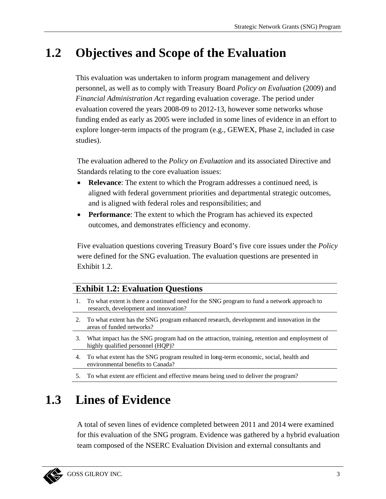### $1.2$ **Objectives and Scope of the Evaluation**

This evaluation was undertaken to inform program management and delivery personnel, as well as to comply with Treasury Board *Policy on Evaluation* (2009) and *Financial Administration Act* regarding evaluation coverage. The period under evaluation covered the years 2008-09 to 2012-13, however some networks whose funding ended as early as 2005 were included in some lines of evidence in an effort to explore longer-term impacts of the program (e.g., GEWEX, Phase 2, included in case studies).

The evaluation adhered to the *Policy on Evaluation* and its associated Directive and Standards relating to the core evaluation issues:

- $\bullet$ **Relevance:** The extent to which the Program addresses a continued need, is aligned with federal government priorities and departmental strategic outcomes, and is aligned with federal roles and responsibilities; and
- Performance: The extent to which the Program has achieved its expected outcomes, and demonstrates efficiency and economy.

Five evaluation questions covering Treasury Board's five core issues under the *Policy* were defined for the SNG evaluation. The evaluation questions are presented in Exhibit 1.2.

## **Exhibit 1.2: Evaluation Questions**

- 1. To what extent is there a continued need for the SNG program to fund a network approach to research, development and innovation?
- 2. To what extent has the SNG program enhanced research, development and innovation in the areas of funded networks?
- 3. What impact has the SNG program had on the attraction, training, retention and employment of highly qualified personnel (HQP)?
- 4. To what extent has the SNG program resulted in long-term economic, social, health and environmental benefits to Canada?
- 5. To what extent are efficient and effective means being used to deliver the program?

### 1.3 **Lines of Evidence**

A total of seven lines of evidence completed between 2011 and 2014 were examined for this evaluation of the SNG program. Evidence was gathered by a hybrid evaluation team composed of the NSERC Evaluation Division and external consultants and

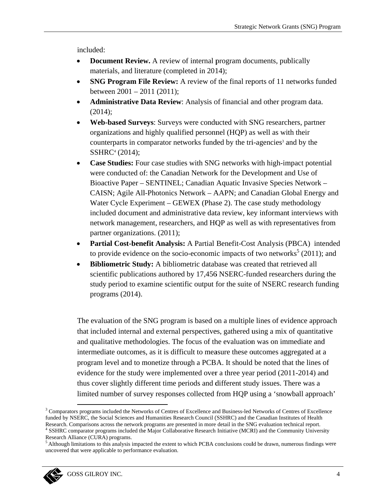included:

- **Document Review.** A review of internal program documents, publically materials, and literature (completed in 2014);
- **SNG Program File Review:** A review of the final reports of 11 networks funded between  $2001 - 2011$  (2011);
- Administrative Data Review: Analysis of financial and other program data.  $\bullet$  $(2014);$
- Web-based Surveys: Surveys were conducted with SNG researchers, partner  $\bullet$ organizations and highly qualified personnel (HQP) as well as with their counterparts in comparator networks funded by the tri-agencies<sup>3</sup> and by the SSHRC<sup>4</sup> (2014);
- Case Studies: Four case studies with SNG networks with high-impact potential were conducted of: the Canadian Network for the Development and Use of Bioactive Paper – SENTINEL; Canadian Aquatic Invasive Species Network – CAISN; Agile All-Photonics Network – AAPN; and Canadian Global Energy and Water Cycle Experiment – GEWEX (Phase 2). The case study methodology included document and administrative data review, key informant interviews with network management, researchers, and HQP as well as with representatives from partner organizations. (2011);
- Partial Cost-benefit Analysis: A Partial Benefit-Cost Analysis (PBCA) intended to provide evidence on the socio-economic impacts of two networks<sup>5</sup> (2011); and
- Bibliometric Study: A bibliometric database was created that retrieved all scientific publications authored by 17,456 NSERC-funded researchers during the study period to examine scientific output for the suite of NSERC research funding programs  $(2014)$ .

The evaluation of the SNG program is based on a multiple lines of evidence approach that included internal and external perspectives, gathered using a mix of quantitative and qualitative methodologies. The focus of the evaluation was on immediate and intermediate outcomes, as it is difficult to measure these outcomes aggregated at a program level and to monetize through a PCBA. It should be noted that the lines of evidence for the study were implemented over a three year period (2011-2014) and thus cover slightly different time periods and different study issues. There was a limited number of survey responses collected from HQP using a 'snowball approach'

<sup>&</sup>lt;sup>3</sup> Comparators programs included the Networks of Centres of Excellence and Business-led Networks of Centres of Excellence funded by NSERC, the Social Sciences and Humanities Research Council (SSHRC) and the Canadian Institutes of Health Research. Comparisons across the network programs are presented in more detail in the SNG evaluation technical report. <sup>4</sup> SSHRC comparator programs included the Major Collaborative Research Initiative (MCRI) and the Community University Research Alliance (CURA) programs.

<sup>&</sup>lt;sup>5</sup> Although limitations to this analysis impacted the extent to which PCBA conclusions could be drawn, numerous findings were uncovered that were applicable to performance evaluation.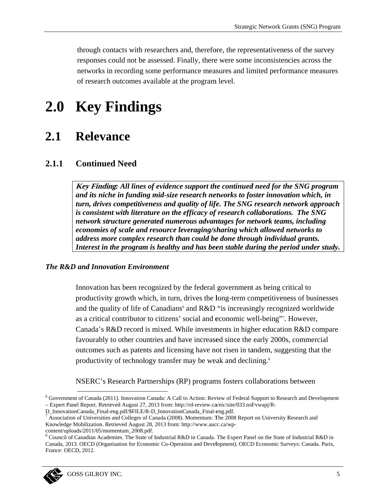through contacts with researchers and, therefore, the representativeness of the survey responses could not be assessed. Finally, there were some inconsistencies across the networks in recording some performance measures and limited performance measures of research outcomes available at the program level.

### $2.0$ **Key Findings**

#### $2.1$ **Relevance**

#### $2.1.1$ **Continued Need**

Key Finding: All lines of evidence support the continued need for the SNG program and its niche in funding mid-size research networks to foster innovation which, in turn, drives competitiveness and quality of life. The SNG research network approach is consistent with literature on the efficacy of research collaborations. The SNG network structure generated numerous advantages for network teams, including economies of scale and resource leveraging/sharing which allowed networks to address more complex research than could be done through individual grants. Interest in the program is healthy and has been stable during the period under study.

### **The R&D and Innovation Environment**

Innovation has been recognized by the federal government as being critical to productivity growth which, in turn, drives the long-term competitiveness of businesses and the quality of life of Canadians<sup>6</sup> and R&D "is increasingly recognized worldwide as a critical contributor to citizens' social and economic well-being"<sup>7</sup>. However, Canada's R&D record is mixed. While investments in higher education R&D compare favourably to other countries and have increased since the early 2000s, commercial outcomes such as patents and licensing have not risen in tandem, suggesting that the productivity of technology transfer may be weak and declining.<sup>8</sup>

NSERC's Research Partnerships (RP) programs fosters collaborations between

<sup>&</sup>lt;sup>8</sup> Council of Canadian Academies. The State of Industrial R&D in Canada. The Expert Panel on the State of Industrial R&D in Canada, 2013. OECD (Organisation for Economic Co-Operation and Development). OECD Economic Surveys: Canada. Paris, France: OECD, 2012.



 $6$  Government of Canada (2011). Innovation Canada: A Call to Action: Review of Federal Support to Research and Development - Expert Panel Report. Retrieved August 27, 2013 from: http://rd-review.ca/eic/site/033.nsf/vwapj/R-

D\_InnovationCanada\_Final-eng.pdf/\$FILE/R-D\_InnovationCanada\_Final-eng.pdf.

 $^7$  Association of Universities and Colleges of Canada (2008). Momentum: The 2008 Report on University Research and Knowledge Mobilization. Retrieved August 28, 2013 from: http://www.aucc.ca/wp-

content/uploads/2011/05/momentum\_2008.pdf.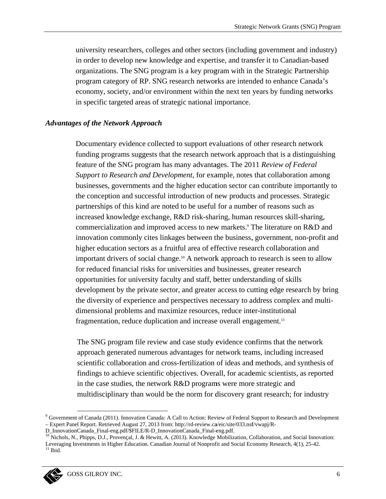university researchers, colleges and other sectors (including government and industry) in order to develop new knowledge and expertise, and transfer it to Canadian-based organizations. The SNG program is a key program with in the Strategic Partnership program category of RP. SNG research networks are intended to enhance Canada's economy, society, and/or environment within the next ten years by funding networks in specific targeted areas of strategic national importance.

### **Advantages of the Network Approach**

Documentary evidence collected to support evaluations of other research network funding programs suggests that the research network approach that is a distinguishing feature of the SNG program has many advantages. The 2011 Review of Federal Support to Research and Development, for example, notes that collaboration among businesses, governments and the higher education sector can contribute importantly to the conception and successful introduction of new products and processes. Strategic partnerships of this kind are noted to be useful for a number of reasons such as increased knowledge exchange, R&D risk-sharing, human resources skill-sharing, commercialization and improved access to new markets.<sup>9</sup> The literature on R&D and innovation commonly cites linkages between the business, government, non-profit and higher education sectors as a fruitful area of effective research collaboration and important drivers of social change.<sup>10</sup> A network approach to research is seen to allow for reduced financial risks for universities and businesses, greater research opportunities for university faculty and staff, better understanding of skills development by the private sector, and greater access to cutting edge research by bring the diversity of experience and perspectives necessary to address complex and multidimensional problems and maximize resources, reduce inter-institutional fragmentation, reduce duplication and increase overall engagement.<sup>11</sup>

The SNG program file review and case study evidence confirms that the network approach generated numerous advantages for network teams, including increased scientific collaboration and cross-fertilization of ideas and methods, and synthesis of findings to achieve scientific objectives. Overall, for academic scientists, as reported in the case studies, the network R&D programs were more strategic and multidisciplinary than would be the norm for discovery grant research; for industry

<sup>&</sup>lt;sup>9</sup> Government of Canada (2011). Innovation Canada: A Call to Action: Review of Federal Support to Research and Development - Expert Panel Report. Retrieved August 27, 2013 from: http://rd-review.ca/eic/site/033.nsf/vwapj/R-

D\_InnovationCanada\_Final-eng.pdf/\$FILE/R-D\_InnovationCanada\_Final-eng.pdf.

<sup>&</sup>lt;sup>10</sup> Nichols, N., Phipps, D.J., Provençal, J. & Hewitt, A. (2013). Knowledge Mobilization, Collaboration, and Social Innovation: Leveraging Investments in Higher Education. Canadian Journal of Nonprofit and Social Economy Research, 4(1), 25-42.  $^{\rm 11}$  Ibid.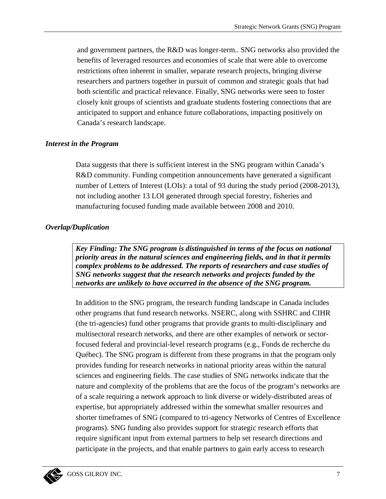and government partners, the R&D was longer-term.. SNG networks also provided the benefits of leveraged resources and economies of scale that were able to overcome restrictions often inherent in smaller, separate research projects, bringing diverse researchers and partners together in pursuit of common and strategic goals that had both scientific and practical relevance. Finally, SNG networks were seen to foster closely knit groups of scientists and graduate students fostering connections that are anticipated to support and enhance future collaborations, impacting positively on Canada's research landscape.

### **Interest in the Program**

Data suggests that there is sufficient interest in the SNG program within Canada's R&D community. Funding competition announcements have generated a significant number of Letters of Interest (LOIs): a total of 93 during the study period (2008-2013), not including another 13 LOI generated through special forestry, fisheries and manufacturing focused funding made available between 2008 and 2010.

### **Overlap/Duplication**

Key Finding: The SNG program is distinguished in terms of the focus on national priority areas in the natural sciences and engineering fields, and in that it permits complex problems to be addressed. The reports of researchers and case studies of SNG networks suggest that the research networks and projects funded by the networks are unlikely to have occurred in the absence of the SNG program.

In addition to the SNG program, the research funding landscape in Canada includes other programs that fund research networks. NSERC, along with SSHRC and CIHR (the tri-agencies) fund other programs that provide grants to multi-disciplinary and multisectoral research networks, and there are other examples of network or sectorfocused federal and provincial-level research programs (e.g., Fonds de recherche du Québec). The SNG program is different from these programs in that the program only provides funding for research networks in national priority areas within the natural sciences and engineering fields. The case studies of SNG networks indicate that the nature and complexity of the problems that are the focus of the program's networks are of a scale requiring a network approach to link diverse or widely-distributed areas of expertise, but appropriately addressed within the somewhat smaller resources and shorter timeframes of SNG (compared to tri-agency Networks of Centres of Excellence programs). SNG funding also provides support for strategic research efforts that require significant input from external partners to help set research directions and participate in the projects, and that enable partners to gain early access to research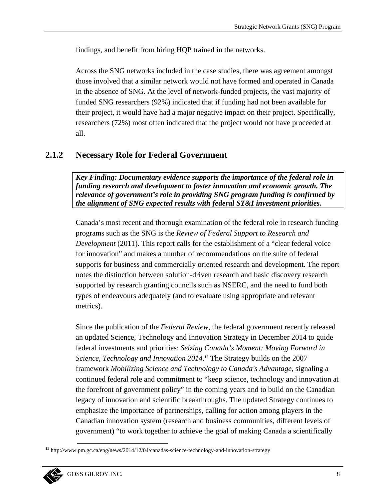findings, and benefit from hiring HQP trained in the networks.

Across the SNG networks included in the case studies, there was agreement amongst those involved that a similar network would not have formed and operated in Canada in the absence of SNG. At the level of network-funded projects, the vast majority of funded SNG researchers (92%) indicated that if funding had not been available for their project, it would have had a major negative impact on their project. Specifically, researchers (72%) most often indicated that the project would not have proceeded at all.

#### $2.1.2$ **Necessary Role for Federal Government**

Key Finding: Documentary evidence supports the importance of the federal role in funding research and development to foster innovation and economic growth. The relevance of government's role in providing SNG program funding is confirmed by the alignment of SNG expected results with federal ST&I investment priorities.

Canada's most recent and thorough examination of the federal role in research funding programs such as the SNG is the Review of Federal Support to Research and *Development* (2011). This report calls for the establishment of a "clear federal voice" for innovation" and makes a number of recommendations on the suite of federal supports for business and commercially oriented research and development. The report notes the distinction between solution-driven research and basic discovery research supported by research granting councils such as NSERC, and the need to fund both types of endeavours adequately (and to evaluate using appropriate and relevant metrics).

Since the publication of the Federal Review, the federal government recently released an updated Science, Technology and Innovation Strategy in December 2014 to guide federal investments and priorities: Seizing Canada's Moment: Moving Forward in Science, Technology and Innovation 2014.<sup>12</sup> The Strategy builds on the 2007 framework Mobilizing Science and Technology to Canada's Advantage, signaling a continued federal role and commitment to "keep science, technology and innovation at the forefront of government policy" in the coming years and to build on the Canadian legacy of innovation and scientific breakthroughs. The updated Strategy continues to emphasize the importance of partnerships, calling for action among players in the Canadian innovation system (research and business communities, different levels of government) "to work together to achieve the goal of making Canada a scientifically

 $12$  http://www.pm.gc.ca/eng/news/2014/12/04/canadas-science-technology-and-innovation-strategy

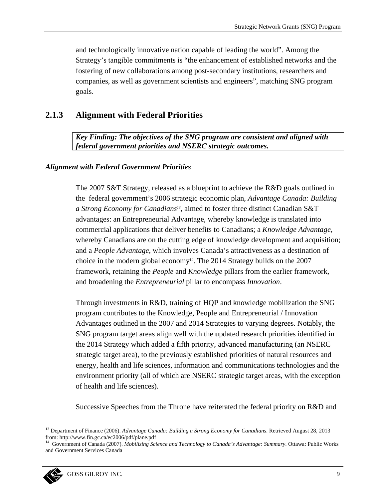and technologically innovative nation capable of leading the world". Among the Strategy's tangible commitments is "the enhancement of established networks and the fostering of new collaborations among post-secondary institutions, researchers and companies, as well as government scientists and engineers", matching SNG program goals.

#### 2.1.3 **Alignment with Federal Priorities**

Key Finding: The objectives of the SNG program are consistent and aligned with federal government priorities and NSERC strategic outcomes.

### **Alignment with Federal Government Priorities**

The 2007 S&T Strategy, released as a blueprint to achieve the R&D goals outlined in the federal government's 2006 strategic economic plan, Advantage Canada: Building a Strong Economy for Canadians<sup>13</sup>, aimed to foster three distinct Canadian S&T advantages: an Entrepreneurial Advantage, whereby knowledge is translated into commercial applications that deliver benefits to Canadians; a *Knowledge Advantage*, whereby Canadians are on the cutting edge of knowledge development and acquisition; and a People Advantage, which involves Canada's attractiveness as a destination of choice in the modern global economy<sup>14</sup>. The 2014 Strategy builds on the 2007 framework, retaining the *People* and *Knowledge* pillars from the earlier framework, and broadening the *Entrepreneurial* pillar to encompass *Innovation*.

Through investments in R&D, training of HQP and knowledge mobilization the SNG program contributes to the Knowledge, People and Entrepreneurial / Innovation Advantages outlined in the 2007 and 2014 Strategies to varying degrees. Notably, the SNG program target areas align well with the updated research priorities identified in the 2014 Strategy which added a fifth priority, advanced manufacturing (an NSERC strategic target area), to the previously established priorities of natural resources and energy, health and life sciences, information and communications technologies and the environment priority (all of which are NSERC strategic target areas, with the exception of health and life sciences).

Successive Speeches from the Throne have reiterated the federal priority on R&D and

Government of Canada (2007). Mobilizing Science and Technology to Canada's Advantage: Summary. Ottawa: Public Works and Government Services Canada



<sup>&</sup>lt;sup>13</sup> Department of Finance (2006). Advantage Canada: Building a Strong Economy for Canadians. Retrieved August 28, 2013 from: http://www.fin.gc.ca/ec2006/pdf/plane.pdf<br><sup>14</sup> Government of Canada (2007), 14 William Pdf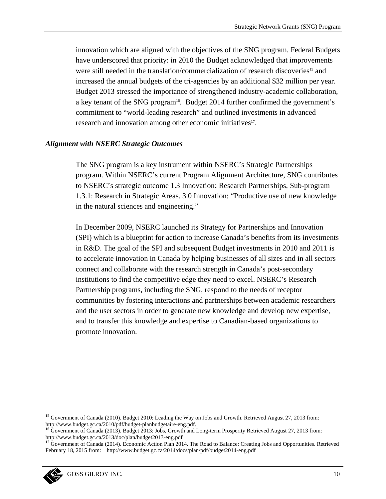innovation which are aligned with the objectives of the SNG program. Federal Budgets have underscored that priority: in 2010 the Budget acknowledged that improvements were still needed in the translation/commercialization of research discoveries<sup>15</sup> and increased the annual budgets of the tri-agencies by an additional \$32 million per year. Budget 2013 stressed the importance of strengthened industry-academic collaboration, a key tenant of the SNG program<sup>16</sup>. Budget 2014 further confirmed the government's commitment to "world-leading research" and outlined investments in advanced research and innovation among other economic initiatives<sup>17</sup>.

### **Alignment with NSERC Strategic Outcomes**

The SNG program is a key instrument within NSERC's Strategic Partnerships program. Within NSERC's current Program Alignment Architecture, SNG contributes to NSERC's strategic outcome 1.3 Innovation: Research Partnerships, Sub-program 1.3.1: Research in Strategic Areas. 3.0 Innovation; "Productive use of new knowledge in the natural sciences and engineering."

In December 2009, NSERC launched its Strategy for Partnerships and Innovation (SPI) which is a blueprint for action to increase Canada's benefits from its investments in R&D. The goal of the SPI and subsequent Budget investments in 2010 and 2011 is to accelerate innovation in Canada by helping businesses of all sizes and in all sectors connect and collaborate with the research strength in Canada's post-secondary institutions to find the competitive edge they need to excel. NSERC's Research Partnership programs, including the SNG, respond to the needs of receptor communities by fostering interactions and partnerships between academic researchers and the user sectors in order to generate new knowledge and develop new expertise, and to transfer this knowledge and expertise to Canadian-based organizations to promote innovation.

<sup>&</sup>lt;sup>15</sup> Government of Canada (2010). Budget 2010: Leading the Way on Jobs and Growth. Retrieved August 27, 2013 from: http://www.budget.gc.ca/2010/pdf/budget-planbudgetaire-eng.pdf.

<sup>&</sup>lt;sup>16</sup> Government of Canada (2013). Budget 2013: Jobs, Growth and Long-term Prosperity Retrieved August 27, 2013 from: http://www.budget.gc.ca/2013/doc/plan/budget2013-eng.pdf

<sup>&</sup>lt;sup>17</sup> Government of Canada (2014). Economic Action Plan 2014. The Road to Balance: Creating Jobs and Opportunities. Retrieved February 18, 2015 from: http://www.budget.gc.ca/2014/docs/plan/pdf/budget2014-eng.pdf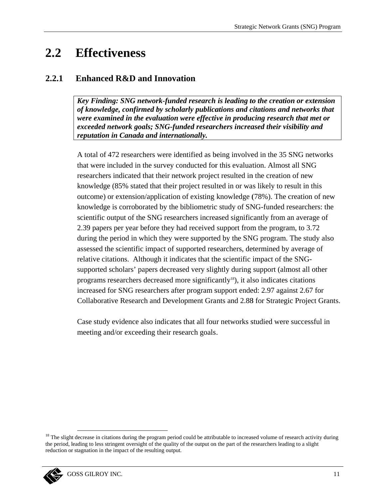#### $2.2$ **Effectiveness**

#### $2.2.1$ **Enhanced R&D and Innovation**

Key Finding: SNG network-funded research is leading to the creation or extension of knowledge, confirmed by scholarly publications and citations and networks that were examined in the evaluation were effective in producing research that met or exceeded network goals; SNG-funded researchers increased their visibility and reputation in Canada and internationally.

A total of 472 researchers were identified as being involved in the 35 SNG networks that were included in the survey conducted for this evaluation. Almost all SNG researchers indicated that their network project resulted in the creation of new knowledge (85% stated that their project resulted in or was likely to result in this outcome) or extension/application of existing knowledge (78%). The creation of new knowledge is corroborated by the bibliometric study of SNG-funded researchers: the scientific output of the SNG researchers increased significantly from an average of 2.39 papers per year before they had received support from the program, to 3.72 during the period in which they were supported by the SNG program. The study also assessed the scientific impact of supported researchers, determined by average of relative citations. Although it indicates that the scientific impact of the SNGsupported scholars' papers decreased very slightly during support (almost all other programs researchers decreased more significantly<sup>18</sup>), it also indicates citations increased for SNG researchers after program support ended: 2.97 against 2.67 for Collaborative Research and Development Grants and 2.88 for Strategic Project Grants.

Case study evidence also indicates that all four networks studied were successful in meeting and/or exceeding their research goals.

<sup>&</sup>lt;sup>18</sup> The slight decrease in citations during the program period could be attributable to increased volume of research activity during the period, leading to less stringent oversight of the quality of the output on the part of the researchers leading to a slight reduction or stagnation in the impact of the resulting output.

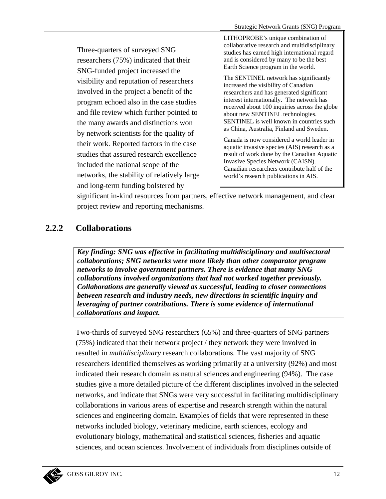Three-quarters of surveyed SNG researchers (75%) indicated that their SNG-funded project increased the visibility and reputation of researchers involved in the project a benefit of the program echoed also in the case studies and file review which further pointed to the many awards and distinctions won by network scientists for the quality of their work. Reported factors in the case studies that assured research excellence included the national scope of the networks, the stability of relatively large and long-term funding bolstered by

LITHOPROBE's unique combination of collaborative research and multidisciplinary studies has earned high international regard and is considered by many to be the best Earth Science program in the world.

The SENTINEL network has significantly increased the visibility of Canadian researchers and has generated significant interest internationally. The network has received about 100 inquiries across the globe about new SENTINEL technologies. SENTINEL is well known in countries such as China, Australia, Finland and Sweden.

Canada is now considered a world leader in aquatic invasive species (AIS) research as a result of work done by the Canadian Aquatic Invasive Species Network (CAISN). Canadian researchers contribute half of the world's research publications in AIS.

significant in-kind resources from partners, effective network management, and clear project review and reporting mechanisms.

#### $2.2.2$ **Collaborations**

Key finding: SNG was effective in facilitating multidisciplinary and multisectoral collaborations: SNG networks were more likely than other comparator program networks to involve government partners. There is evidence that many SNG collaborations involved organizations that had not worked together previously. Collaborations are generally viewed as successful, leading to closer connections between research and industry needs, new directions in scientific inquiry and leveraging of partner contributions. There is some evidence of international collaborations and impact.

Two-thirds of surveyed SNG researchers (65%) and three-quarters of SNG partners (75%) indicated that their network project / they network they were involved in resulted in *multidisciplinary* research collaborations. The vast majority of SNG researchers identified themselves as working primarily at a university (92%) and most indicated their research domain as natural sciences and engineering (94%). The case studies give a more detailed picture of the different disciplines involved in the selected networks, and indicate that SNGs were very successful in facilitating multidisciplinary collaborations in various areas of expertise and research strength within the natural sciences and engineering domain. Examples of fields that were represented in these networks included biology, veterinary medicine, earth sciences, ecology and evolutionary biology, mathematical and statistical sciences, fisheries and aquatic sciences, and ocean sciences. Involvement of individuals from disciplines outside of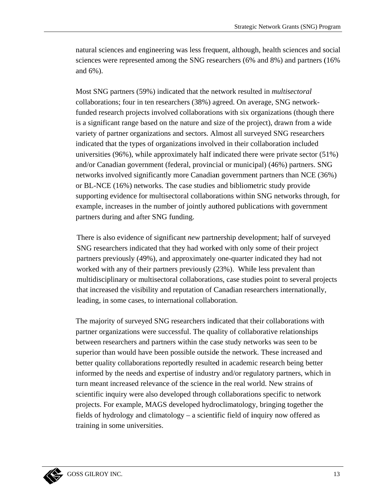natural sciences and engineering was less frequent, although, health sciences and social sciences were represented among the SNG researchers (6% and 8%) and partners (16% and  $6\%$ ).

Most SNG partners (59%) indicated that the network resulted in *multisectoral* collaborations; four in ten researchers (38%) agreed. On average, SNG networkfunded research projects involved collaborations with six organizations (though there is a significant range based on the nature and size of the project), drawn from a wide variety of partner organizations and sectors. Almost all surveyed SNG researchers indicated that the types of organizations involved in their collaboration included universities  $(96\%)$ , while approximately half indicated there were private sector  $(51\%)$ and/or Canadian government (federal, provincial or municipal) (46%) partners. SNG networks involved significantly more Canadian government partners than NCE (36%) or BL-NCE (16%) networks. The case studies and bibliometric study provide supporting evidence for multisectoral collaborations within SNG networks through, for example, increases in the number of jointly authored publications with government partners during and after SNG funding.

There is also evidence of significant *new* partnership development; half of surveyed SNG researchers indicated that they had worked with only some of their project partners previously (49%), and approximately one-quarter indicated they had not worked with any of their partners previously (23%). While less prevalent than multidisciplinary or multisectoral collaborations, case studies point to several projects that increased the visibility and reputation of Canadian researchers internationally, leading, in some cases, to international collaboration.

The majority of surveyed SNG researchers indicated that their collaborations with partner organizations were successful. The quality of collaborative relationships between researchers and partners within the case study networks was seen to be superior than would have been possible outside the network. These increased and better quality collaborations reportedly resulted in academic research being better informed by the needs and expertise of industry and/or regulatory partners, which in turn meant increased relevance of the science in the real world. New strains of scientific inquiry were also developed through collaborations specific to network projects. For example, MAGS developed hydroclimatology, bringing together the fields of hydrology and climatology – a scientific field of inquiry now offered as training in some universities.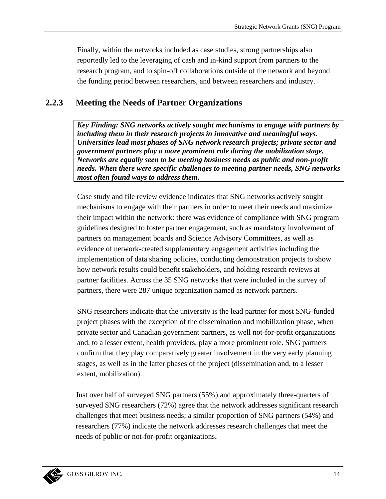Finally, within the networks included as case studies, strong partnerships also reportedly led to the leveraging of cash and in-kind support from partners to the research program, and to spin-off collaborations outside of the network and beyond the funding period between researchers, and between researchers and industry.

#### $2.2.3$ **Meeting the Needs of Partner Organizations**

Key Finding: SNG networks actively sought mechanisms to engage with partners by including them in their research projects in innovative and meaningful ways. Universities lead most phases of SNG network research projects; private sector and government partners play a more prominent role during the mobilization stage. Networks are equally seen to be meeting business needs as public and non-profit needs. When there were specific challenges to meeting partner needs, SNG networks most often found ways to address them.

Case study and file review evidence indicates that SNG networks actively sought mechanisms to engage with their partners in order to meet their needs and maximize their impact within the network: there was evidence of compliance with SNG program guidelines designed to foster partner engagement, such as mandatory involvement of partners on management boards and Science Advisory Committees, as well as evidence of network-created supplementary engagement activities including the implementation of data sharing policies, conducting demonstration projects to show how network results could benefit stakeholders, and holding research reviews at partner facilities. Across the 35 SNG networks that were included in the survey of partners, there were 287 unique organization named as network partners.

SNG researchers indicate that the university is the lead partner for most SNG-funded project phases with the exception of the dissemination and mobilization phase, when private sector and Canadian government partners, as well not-for-profit organizations and, to a lesser extent, health providers, play a more prominent role. SNG partners confirm that they play comparatively greater involvement in the very early planning stages, as well as in the latter phases of the project (dissemination and, to a lesser extent, mobilization).

Just over half of surveyed SNG partners (55%) and approximately three-quarters of surveyed SNG researchers (72%) agree that the network addresses significant research challenges that meet business needs; a similar proportion of SNG partners (54%) and researchers (77%) indicate the network addresses research challenges that meet the needs of public or not-for-profit organizations.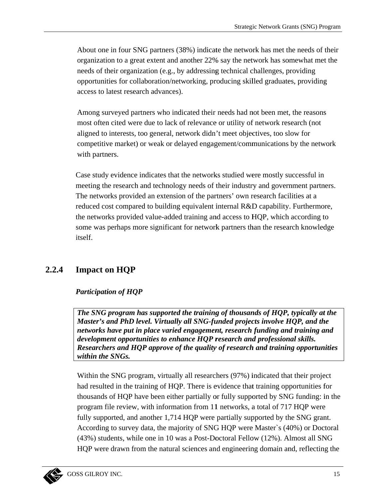About one in four SNG partners (38%) indicate the network has met the needs of their organization to a great extent and another 22% say the network has somewhat met the needs of their organization (e.g., by addressing technical challenges, providing opportunities for collaboration/networking, producing skilled graduates, providing access to latest research advances).

Among surveyed partners who indicated their needs had not been met, the reasons most often cited were due to lack of relevance or utility of network research (not aligned to interests, too general, network didn't meet objectives, too slow for competitive market) or weak or delayed engagement/communications by the network with partners.

Case study evidence indicates that the networks studied were mostly successful in meeting the research and technology needs of their industry and government partners. The networks provided an extension of the partners' own research facilities at a reduced cost compared to building equivalent internal R&D capability. Furthermore, the networks provided value-added training and access to HQP, which according to some was perhaps more significant for network partners than the research knowledge itself.

#### $2.2.4$ **Impact on HQP**

## **Participation of HOP**

The SNG program has supported the training of thousands of HQP, typically at the Master's and PhD level. Virtually all SNG-funded projects involve HQP, and the networks have put in place varied engagement, research funding and training and development opportunities to enhance HQP research and professional skills. Researchers and HQP approve of the quality of research and training opportunities within the SNGs.

Within the SNG program, virtually all researchers (97%) indicated that their project had resulted in the training of HQP. There is evidence that training opportunities for thousands of HQP have been either partially or fully supported by SNG funding: in the program file review, with information from 11 networks, a total of 717 HQP were fully supported, and another 1,714 HQP were partially supported by the SNG grant. According to survey data, the majority of SNG HQP were Master's (40%) or Doctoral  $(43%)$  students, while one in 10 was a Post-Doctoral Fellow  $(12%)$ . Almost all SNG HQP were drawn from the natural sciences and engineering domain and, reflecting the

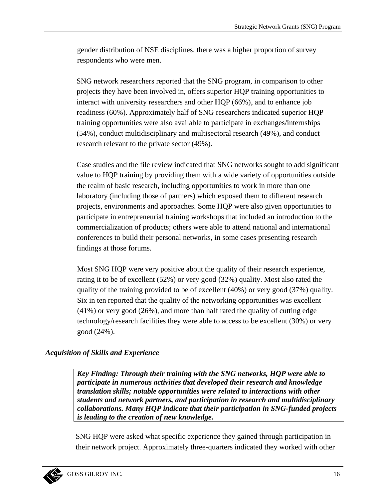gender distribution of NSE disciplines, there was a higher proportion of survey respondents who were men.

SNG network researchers reported that the SNG program, in comparison to other projects they have been involved in, offers superior HQP training opportunities to interact with university researchers and other HQP (66%), and to enhance job readiness (60%). Approximately half of SNG researchers indicated superior HQP training opportunities were also available to participate in exchanges/internships (54%), conduct multidisciplinary and multisectoral research (49%), and conduct research relevant to the private sector (49%).

Case studies and the file review indicated that SNG networks sought to add significant value to HQP training by providing them with a wide variety of opportunities outside the realm of basic research, including opportunities to work in more than one laboratory (including those of partners) which exposed them to different research projects, environments and approaches. Some HQP were also given opportunities to participate in entrepreneurial training workshops that included an introduction to the commercialization of products; others were able to attend national and international conferences to build their personal networks, in some cases presenting research findings at those forums.

Most SNG HQP were very positive about the quality of their research experience, rating it to be of excellent (52%) or very good (32%) quality. Most also rated the quality of the training provided to be of excellent (40%) or very good (37%) quality. Six in ten reported that the quality of the networking opportunities was excellent  $(41\%)$  or very good (26%), and more than half rated the quality of cutting edge technology/research facilities they were able to access to be excellent (30%) or very good (24%).

## **Acquisition of Skills and Experience**

Key Finding: Through their training with the SNG networks, HQP were able to participate in numerous activities that developed their research and knowledge translation skills; notable opportunities were related to interactions with other students and network partners, and participation in research and multidisciplinary collaborations. Many HQP indicate that their participation in SNG-funded projects is leading to the creation of new knowledge.

SNG HQP were asked what specific experience they gained through participation in their network project. Approximately three-quarters indicated they worked with other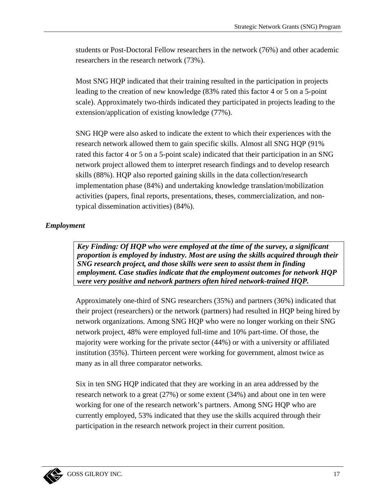students or Post-Doctoral Fellow researchers in the network (76%) and other academic researchers in the research network (73%).

Most SNG HOP indicated that their training resulted in the participation in projects leading to the creation of new knowledge (83% rated this factor 4 or 5 on a 5-point scale). Approximately two-thirds indicated they participated in projects leading to the extension/application of existing knowledge (77%).

SNG HQP were also asked to indicate the extent to which their experiences with the research network allowed them to gain specific skills. Almost all SNG HQP (91%) rated this factor 4 or 5 on a 5-point scale) indicated that their participation in an SNG network project allowed them to interpret research findings and to develop research skills (88%). HQP also reported gaining skills in the data collection/research implementation phase (84%) and undertaking knowledge translation/mobilization activities (papers, final reports, presentations, theses, commercialization, and nontypical dissemination activities) (84%).

## **Employment**

Key Finding: Of HOP who were employed at the time of the survey, a significant proportion is employed by industry. Most are using the skills acquired through their SNG research project, and those skills were seen to assist them in finding employment. Case studies indicate that the employment outcomes for network HQP were very positive and network partners often hired network-trained HOP.

Approximately one-third of SNG researchers (35%) and partners (36%) indicated that their project (researchers) or the network (partners) had resulted in HQP being hired by network organizations. Among SNG HQP who were no longer working on their SNG network project, 48% were employed full-time and 10% part-time. Of those, the majority were working for the private sector (44%) or with a university or affiliated institution (35%). Thirteen percent were working for government, almost twice as many as in all three comparator networks.

Six in ten SNG HQP indicated that they are working in an area addressed by the research network to a great  $(27%)$  or some extent  $(34%)$  and about one in ten were working for one of the research network's partners. Among SNG HQP who are currently employed, 53% indicated that they use the skills acquired through their participation in the research network project in their current position.

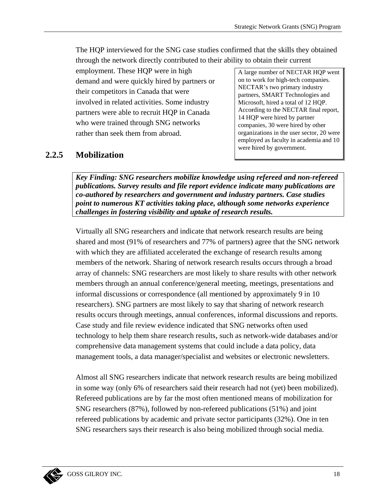The HQP interviewed for the SNG case studies confirmed that the skills they obtained through the network directly contributed to their ability to obtain their current

employment. These HQP were in high demand and were quickly hired by partners or their competitors in Canada that were involved in related activities. Some industry partners were able to recruit HQP in Canada who were trained through SNG networks rather than seek them from abroad.

A large number of NECTAR HQP went on to work for high-tech companies. NECTAR's two primary industry partners, SMART Technologies and Microsoft, hired a total of 12 HQP. According to the NECTAR final report, 14 HQP were hired by partner companies, 30 were hired by other organizations in the user sector, 20 were employed as faculty in academia and 10 were hired by government.

#### $2.2.5$ **Mobilization**

Key Finding: SNG researchers mobilize knowledge using refereed and non-refereed publications. Survey results and file report evidence indicate many publications are co-authored by researchers and government and industry partners. Case studies point to numerous KT activities taking place, although some networks experience challenges in fostering visibility and uptake of research results.

Virtually all SNG researchers and indicate that network research results are being shared and most (91% of researchers and 77% of partners) agree that the SNG network with which they are affiliated accelerated the exchange of research results among members of the network. Sharing of network research results occurs through a broad array of channels: SNG researchers are most likely to share results with other network members through an annual conference/general meeting, meetings, presentations and informal discussions or correspondence (all mentioned by approximately 9 in 10) researchers). SNG partners are most likely to say that sharing of network research results occurs through meetings, annual conferences, informal discussions and reports. Case study and file review evidence indicated that SNG networks often used technology to help them share research results, such as network-wide databases and/or comprehensive data management systems that could include a data policy, data management tools, a data manager/specialist and websites or electronic newsletters.

Almost all SNG researchers indicate that network research results are being mobilized in some way (only 6% of researchers said their research had not (yet) been mobilized). Refereed publications are by far the most often mentioned means of mobilization for SNG researchers (87%), followed by non-refereed publications (51%) and joint refereed publications by academic and private sector participants (32%). One in ten SNG researchers says their research is also being mobilized through social media.

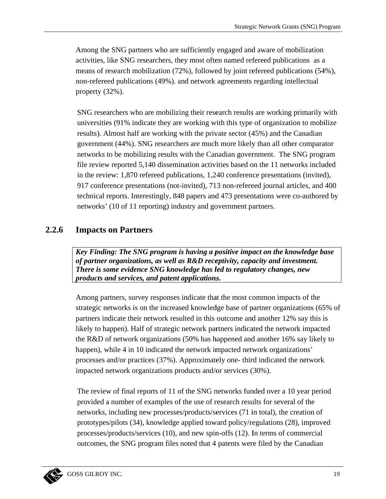Among the SNG partners who are sufficiently engaged and aware of mobilization activities, like SNG researchers, they most often named refereed publications as a means of research mobilization (72%), followed by joint refereed publications (54%), non-refereed publications (49%), and network agreements regarding intellectual property  $(32\%)$ .

SNG researchers who are mobilizing their research results are working primarily with universities (91% indicate they are working with this type of organization to mobilize results). Almost half are working with the private sector (45%) and the Canadian government (44%). SNG researchers are much more likely than all other comparator networks to be mobilizing results with the Canadian government. The SNG program file review reported 5,140 dissemination activities based on the 11 networks included in the review: 1,870 refereed publications, 1,240 conference presentations (invited), 917 conference presentations (not-invited), 713 non-refereed journal articles, and 400 technical reports. Interestingly, 848 papers and 473 presentations were co-authored by networks' (10 of 11 reporting) industry and government partners.

#### $2.2.6$ **Impacts on Partners**

Key Finding: The SNG program is having a positive impact on the knowledge base of partner organizations, as well as R&D receptivity, capacity and investment. There is some evidence SNG knowledge has led to regulatory changes, new products and services, and patent applications.

Among partners, survey responses indicate that the most common impacts of the strategic networks is on the increased knowledge base of partner organizations (65% of partners indicate their network resulted in this outcome and another 12% say this is likely to happen). Half of strategic network partners indicated the network impacted the R&D of network organizations (50% has happened and another 16% say likely to happen), while 4 in 10 indicated the network impacted network organizations' processes and/or practices (37%). Approximately one- third indicated the network impacted network organizations products and/or services (30%).

The review of final reports of 11 of the SNG networks funded over a 10 year period provided a number of examples of the use of research results for several of the networks, including new processes/products/services (71 in total), the creation of prototypes/pilots (34), knowledge applied toward policy/regulations (28), improved processes/products/services (10), and new spin-offs (12). In terms of commercial outcomes, the SNG program files noted that 4 patents were filed by the Canadian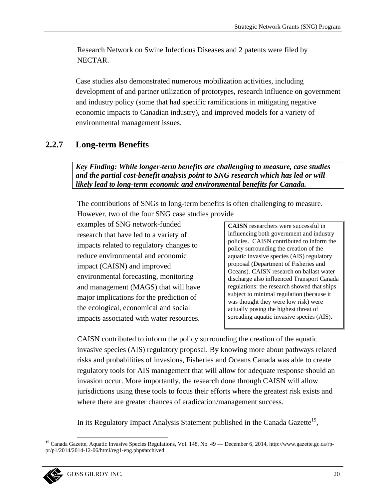Research Network on Swine Infectious Diseases and 2 patents were filed by NECTAR.

Case studies also demonstrated numerous mobilization activities, including development of and partner utilization of prototypes, research influence on government and industry policy (some that had specific ramifications in mitigating negative economic impacts to Canadian industry), and improved models for a variety of environmental management issues.

#### $2.2.7$ **Long-term Benefits**

Key Finding: While longer-term benefits are challenging to measure, case studies and the partial cost-benefit analysis point to SNG research which has led or will likely lead to long-term economic and environmental benefits for Canada.

The contributions of SNGs to long-term benefits is often challenging to measure. However, two of the four SNG case studies provide

examples of SNG network-funded research that have led to a variety of impacts related to regulatory changes to reduce environmental and economic impact (CAISN) and improved environmental forecasting, monitoring and management (MAGS) that will have major implications for the prediction of the ecological, economical and social impacts associated with water resources.

**CAISN** researchers were successful in influencing both government and industry policies. CAISN contributed to inform the policy surrounding the creation of the aquatic invasive species (AIS) regulatory proposal (Department of Fisheries and Oceans). CAISN research on ballast water discharge also influenced Transport Canada regulations: the research showed that ships subject to minimal regulation (because it was thought they were low risk) were actually posing the highest threat of spreading aquatic invasive species (AIS).

CAISN contributed to inform the policy surrounding the creation of the aquatic invasive species (AIS) regulatory proposal. By knowing more about pathways related risks and probabilities of invasions, Fisheries and Oceans Canada was able to create regulatory tools for AIS management that will allow for adequate response should an invasion occur. More importantly, the research done through CAISN will allow jurisdictions using these tools to focus their efforts where the greatest risk exists and where there are greater chances of eradication/management success.

In its Regulatory Impact Analysis Statement published in the Canada Gazette<sup>19</sup>,

<sup>&</sup>lt;sup>19</sup> Canada Gazette, Aquatic Invasive Species Regulations, Vol. 148, No. 49 — December 6, 2014, http://www.gazette.gc.ca/rppr/p1/2014/2014-12-06/html/reg1-eng.php#archived

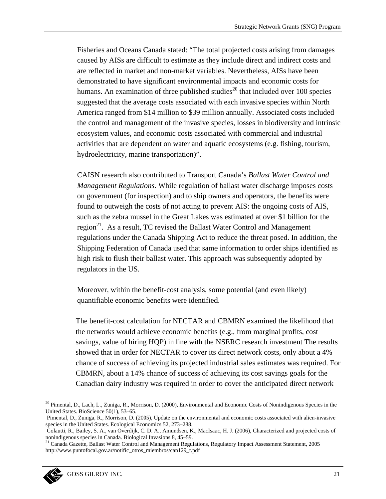Fisheries and Oceans Canada stated: "The total projected costs arising from damages caused by AISs are difficult to estimate as they include direct and indirect costs and are reflected in market and non-market variables. Nevertheless, AISs have been demonstrated to have significant environmental impacts and economic costs for humans. An examination of three published studies<sup>20</sup> that included over 100 species suggested that the average costs associated with each invasive species within North America ranged from \$14 million to \$39 million annually. Associated costs included the control and management of the invasive species, losses in biodiversity and intrinsic ecosystem values, and economic costs associated with commercial and industrial activities that are dependent on water and aquatic ecosystems (e.g. fishing, tourism, hydroelectricity, marine transportation)".

CAISN research also contributed to Transport Canada's Ballast Water Control and *Management Regulations.* While regulation of ballast water discharge imposes costs on government (for inspection) and to ship owners and operators, the benefits were found to outweigh the costs of not acting to prevent AIS: the ongoing costs of AIS, such as the zebra mussel in the Great Lakes was estimated at over \$1 billion for the region<sup>21</sup>. As a result, TC revised the Ballast Water Control and Management regulations under the Canada Shipping Act to reduce the threat posed. In addition, the Shipping Federation of Canada used that same information to order ships identified as high risk to flush their ballast water. This approach was subsequently adopted by regulators in the US.

Moreover, within the benefit-cost analysis, some potential (and even likely) quantifiable economic benefits were identified.

The benefit-cost calculation for NECTAR and CBMRN examined the likelihood that the networks would achieve economic benefits (e.g., from marginal profits, cost savings, value of hiring HQP) in line with the NSERC research investment The results showed that in order for NECTAR to cover its direct network costs, only about a 4% chance of success of achieving its projected industrial sales estimates was required. For CBMRN, about a 14% chance of success of achieving its cost savings goals for the Canadian dairy industry was required in order to cover the anticipated direct network

<sup>&</sup>lt;sup>20</sup> Pimental, D., Lach, L., Zuniga, R., Morrison, D. (2000), Environmental and Economic Costs of Nonindigenous Species in the United States. BioScience 50(1), 53-65.

Pimental, D., Zuniga, R., Morrison, D. (2005), Update on the environmental and economic costs associated with alien-invasive species in the United States. Ecological Economics 52, 273-288.

Colautti, R., Bailey, S. A., van Overdijk, C. D. A., Amundsen, K., MacIsaac, H. J. (2006), Characterized and projected costs of nonindigenous species in Canada. Biological Invasions 8, 45–59.<br><sup>21</sup> Canada Gazette, Ballast Water Control and Management Regulations, Regulatory Impact Assessment Statement, 2005

http://www.puntofocal.gov.ar/notific\_otros\_miembros/can129\_t.pdf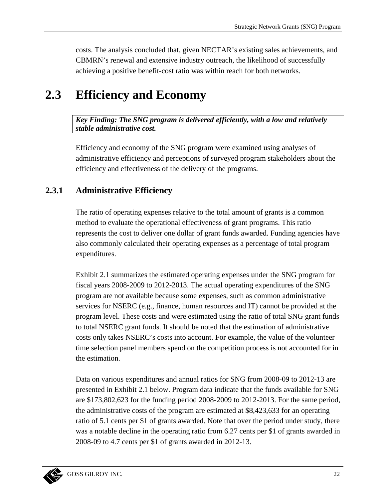costs. The analysis concluded that, given NECTAR's existing sales achievements, and CBMRN's renewal and extensive industry outreach, the likelihood of successfully achieving a positive benefit-cost ratio was within reach for both networks.

### $2.3$ **Efficiency and Economy**

Key Finding: The SNG program is delivered efficiently, with a low and relatively stable administrative cost.

Efficiency and economy of the SNG program were examined using analyses of administrative efficiency and perceptions of surveyed program stakeholders about the efficiency and effectiveness of the delivery of the programs.

#### $2.3.1$ **Administrative Efficiency**

The ratio of operating expenses relative to the total amount of grants is a common method to evaluate the operational effectiveness of grant programs. This ratio represents the cost to deliver one dollar of grant funds awarded. Funding agencies have also commonly calculated their operating expenses as a percentage of total program expenditures.

Exhibit 2.1 summarizes the estimated operating expenses under the SNG program for fiscal years 2008-2009 to 2012-2013. The actual operating expenditures of the SNG program are not available because some expenses, such as common administrative services for NSERC (e.g., finance, human resources and IT) cannot be provided at the program level. These costs and were estimated using the ratio of total SNG grant funds to total NSERC grant funds. It should be noted that the estimation of administrative costs only takes NSERC's costs into account. For example, the value of the volunteer time selection panel members spend on the competition process is not accounted for in the estimation.

Data on various expenditures and annual ratios for SNG from 2008-09 to 2012-13 are presented in Exhibit 2.1 below. Program data indicate that the funds available for SNG are \$173,802,623 for the funding period 2008-2009 to 2012-2013. For the same period, the administrative costs of the program are estimated at \$8,423,633 for an operating ratio of 5.1 cents per \$1 of grants awarded. Note that over the period under study, there was a notable decline in the operating ratio from 6.27 cents per \$1 of grants awarded in 2008-09 to 4.7 cents per \$1 of grants awarded in 2012-13.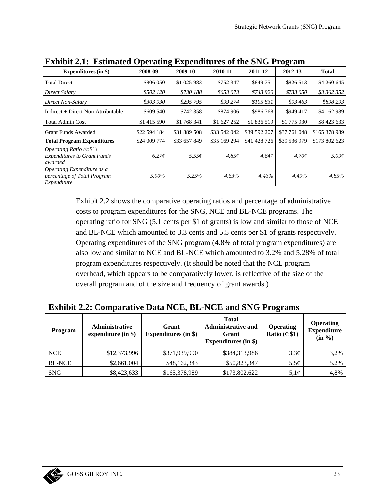| <b>Exhibit 2.1: Estimated Operating Expenditures of the SNG Program</b>  |              |              |              |                   |              |                   |  |
|--------------------------------------------------------------------------|--------------|--------------|--------------|-------------------|--------------|-------------------|--|
| <b>Expenditures (in \$)</b>                                              | 2008-09      | 2009-10      | 2010-11      | 2011-12           | 2012-13      | <b>Total</b>      |  |
| <b>Total Direct</b>                                                      | \$806 050    | \$1 025 983  | \$752 347    | \$849751          | \$826 513    | \$4 260 645       |  |
| Direct Salary                                                            | \$502 120    | \$730 188    | \$653 073    | \$743 920         | \$733 050    | \$3 362 352       |  |
| Direct Non-Salary                                                        | \$303 930    | \$295 795    | \$99 274     | \$105 831         | \$93 463     | \$898 293         |  |
| Indirect + Direct Non-Attributable                                       | \$609 540    | \$742 358    | \$874 906    | \$986 768         | \$949 417    | \$4 162 989       |  |
| <b>Total Admin Cost</b>                                                  | \$1 415 590  | \$1 768 341  | \$1 627 252  | \$1 836 519       | \$1 775 930  | \$8423633         |  |
| Grant Funds Awarded                                                      | \$22 594 184 | \$31 889 508 | \$33 542 042 | \$39 592 207      | \$37 761 048 | \$165 378 989     |  |
| <b>Total Program Expenditures</b>                                        | \$24 009 774 | \$33 657 849 | \$35 169 294 | \$41 428 726      | \$39 536 979 | \$173 802 623     |  |
| Operating Ratio (¢:\$1)<br><b>Expenditures to Grant Funds</b><br>awarded | 6.27c        | 5.55¢        | 4.85c        | 4.64 <sub>c</sub> | 4.70c        | $5.09\mathcal{C}$ |  |
| Operating Expenditure as a<br>percentage of Total Program<br>Expenditure | 5.90%        | 5.25%        | 4.63%        | 4.43%             | 4.49%        | 4.85%             |  |

Exhibit 2.2 shows the comparative operating ratios and percentage of administrative costs to program expenditures for the SNG, NCE and BL-NCE programs. The operating ratio for SNG (5.1 cents per \$1 of grants) is low and similar to those of NCE and BL-NCE which amounted to 3.3 cents and 5.5 cents per \$1 of grants respectively. Operating expenditures of the SNG program (4.8% of total program expenditures) are also low and similar to NCE and BL-NCE which amounted to 3.2% and 5.28% of total program expenditures respectively. (It should be noted that the NCE program overhead, which appears to be comparatively lower, is reflective of the size of the overall program and of the size and frequency of grant awards.)

## **Exhibit 2.2: Comparative Data NCE, BL-NCE and SNG Programs**

| Program       | <b>Administrative</b><br>expenditure $(in $)$ | Grant<br><b>Expenditures (in \$)</b> | <b>Total</b><br><b>Administrative and</b><br>Grant<br><b>Expenditures (in \$)</b> | <b>Operating</b><br>Ratio $(\mathfrak{e}: \$1)$ | <b>Operating</b><br><b>Expenditure</b><br>$(in \frac{9}{6})$ |
|---------------|-----------------------------------------------|--------------------------------------|-----------------------------------------------------------------------------------|-------------------------------------------------|--------------------------------------------------------------|
| <b>NCE</b>    | \$12,373,996                                  | \$371,939,990                        | \$384,313,986                                                                     | $3,3\phi$                                       | 3,2%                                                         |
| <b>BL-NCE</b> | \$2,661,004                                   | \$48,162,343                         | \$50,823,347                                                                      | $5,5\phi$                                       | 5.2%                                                         |
| <b>SNG</b>    | \$8,423,633                                   | \$165,378,989                        | \$173,802,622                                                                     | $5,1\phi$                                       | 4,8%                                                         |

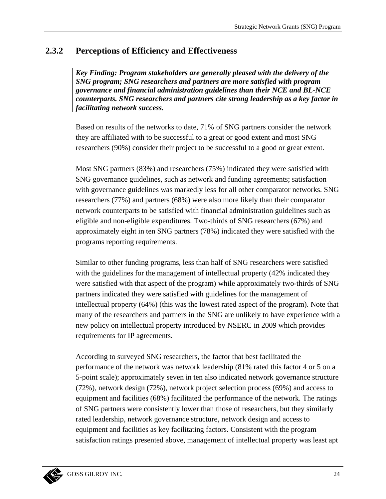#### $2.3.2$ **Perceptions of Efficiency and Effectiveness**

Key Finding: Program stakeholders are generally pleased with the delivery of the SNG program; SNG researchers and partners are more satisfied with program governance and financial administration guidelines than their NCE and BL-NCE counterparts. SNG researchers and partners cite strong leadership as a key factor in facilitating network success.

Based on results of the networks to date, 71% of SNG partners consider the network they are affiliated with to be successful to a great or good extent and most SNG researchers (90%) consider their project to be successful to a good or great extent.

Most SNG partners (83%) and researchers (75%) indicated they were satisfied with SNG governance guidelines, such as network and funding agreements; satisfaction with governance guidelines was markedly less for all other comparator networks. SNG researchers (77%) and partners (68%) were also more likely than their comparator network counterparts to be satisfied with financial administration guidelines such as eligible and non-eligible expenditures. Two-thirds of SNG researchers (67%) and approximately eight in ten SNG partners (78%) indicated they were satisfied with the programs reporting requirements.

Similar to other funding programs, less than half of SNG researchers were satisfied with the guidelines for the management of intellectual property (42% indicated they were satisfied with that aspect of the program) while approximately two-thirds of SNG partners indicated they were satisfied with guidelines for the management of intellectual property (64%) (this was the lowest rated aspect of the program). Note that many of the researchers and partners in the SNG are unlikely to have experience with a new policy on intellectual property introduced by NSERC in 2009 which provides requirements for IP agreements.

According to surveyed SNG researchers, the factor that best facilitated the performance of the network was network leadership (81% rated this factor 4 or 5 on a 5-point scale); approximately seven in ten also indicated network governance structure (72%), network design (72%), network project selection process (69%) and access to equipment and facilities (68%) facilitated the performance of the network. The ratings of SNG partners were consistently lower than those of researchers, but they similarly rated leadership, network governance structure, network design and access to equipment and facilities as key facilitating factors. Consistent with the program satisfaction ratings presented above, management of intellectual property was least apt

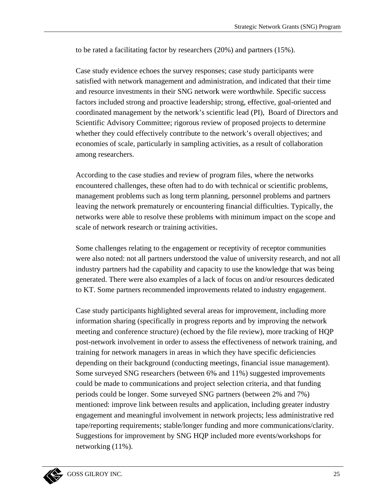to be rated a facilitating factor by researchers  $(20%)$  and partners  $(15%).$ 

Case study evidence echoes the survey responses; case study participants were satisfied with network management and administration, and indicated that their time and resource investments in their SNG network were worthwhile. Specific success and resource investments in their SNG network were worthwhile. Specific success<br>factors included strong and proactive leadership; strong, effective, goal-oriented and coordinated management by the network's scientific lead (PI), Board of Directors and Scientific Advisory Committee; rigorous review of proposed projects to determine whether they could effectively contribute to the network's overall objectives; and economies of scale, particularly in sampling activities, as a result of collaboration among rese earchers. e<br>s,

According to the case studies and review of program files, where the networks encountered challenges, these often had to do with technical or scientific problems management problems such as long term planning, personnel problems and partners leaving the network prematurely or encountering financial difficulties. Typically, the networks were able to resolve these problems with minimum impact on the scope and scale of network research or training activities.

Some challenges relating to the engagement or receptivity of receptor communities Some challenges relating to the engagement or receptivity of receptor communities<br>were also noted: not all partners understood the value of university research, and not all industry partners had the capability and capacity to use the knowledge that was being generated. There were also examples of a lack of focus on and/or resources dedicated to KT. Some partners recommended improvements related to industry engagement.

Case study participants highlighted several areas for improvement, including more information sharing (specifically in progress reports and by improving the network Case study participants highlighted several areas for improvement, including more<br>information sharing (specifically in progress reports and by improving the network<br>meeting and conference structure) (echoed by the file rev post-network involvement in order to assess the effectiveness of network training, and training for network managers in areas in which they have specific deficiencies depending on their background (conducting meetings, financial issue management). Some surveyed SNG researchers (between 6% and 11%) suggested improvements could be made to communications and project selection criteria, and that funding periods could be longer. Some surveyed SNG partners (between 2% and 7%) Some surveyed SNG researchers (between 6% and 11%) suggested improvements<br>could be made to communications and project selection criteria, and that funding<br>periods could be longer. Some surveyed SNG partners (between 2% and engagement and meaningful involvement in network projects; less administrative red tape/reporting requirements; stable/longer funding and more communications/clarity. Suggestions for improvement by SNG HQP included more events/workshops for networking (11%).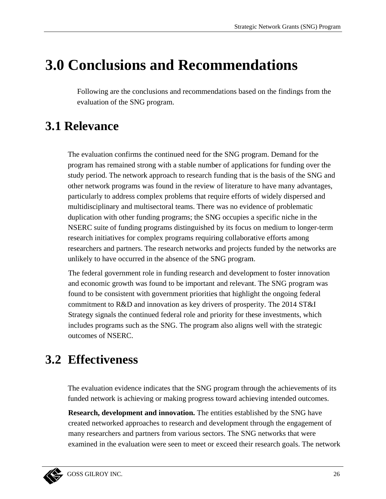# **3.0 Conclusions and Recommendations**

Following are the conclusions and recommendations based on the findings from the evaluation of the SNG program.

# **3.1 Relevance**

The evaluation confirms the continued need for the SNG program. Demand for the program has remained strong with a stable number of applications for funding over the study period. The network approach to research funding that is the basis of the SNG and other network programs was found in the review of literature to have many advantages, particularly to address complex problems that require efforts of widely dispersed and multidisciplinary and multisectoral teams. There was no evidence of problematic duplication with other funding programs; the SNG occupies a specific niche in the NSERC suite of funding programs distinguished by its focus on medium to longer-term research initiatives for complex programs requiring collaborative efforts among researchers and partners. The research networks and projects funded by the networks are unlikely to have occurred in the absence of the SNG program.

The federal government role in funding research and development to foster innovation and economic growth was found to be important and relevant. The SNG program was found to be consistent with government priorities that highlight the ongoing federal commitment to R&D and innovation as key drivers of prosperity. The 2014 ST&I Strategy signals the continued federal role and priority for these investments, which includes programs such as the SNG. The program also aligns well with the strategic outcomes of NSERC.

## **3.2 Effectiveness**

The evaluation evidence indicates that the SNG program through the achievements of its funded network is achieving or making progress toward achieving intended outcomes.

**Research, development and innovation.** The entities established by the SNG have created networked approaches to research and development through the engagement of many researchers and partners from various sectors. The SNG networks that were examined in the evaluation were seen to meet or exceed their research goals. The network

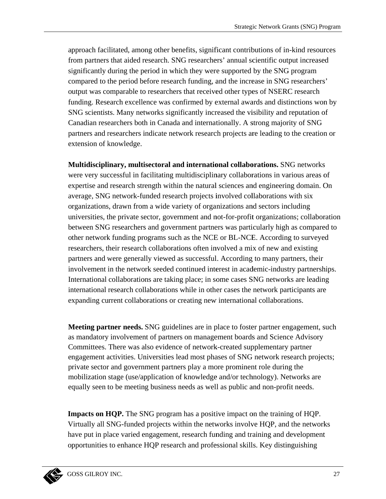approach facilitated, among other benefits, significant contributions of in-kind resources from partners that aided research. SNG researchers' annual scientific output increased significantly during the period in which they were supported by the SNG program compared to the period before research funding, and the increase in SNG researchers' output was comparable to researchers that received other types of NSERC research funding. Research excellence was confirmed by external awards and distinctions won by SNG scientists. Many networks significantly increased the visibility and reputation of Canadian researchers both in Canada and internationally. A strong majority of SNG partners and researchers indicate network research projects are leading to the creation or extension of knowledge.

**Multidisciplinary, multisectoral and international collaborations.** SNG networks were very successful in facilitating multidisciplinary collaborations in various areas of expertise and research strength within the natural sciences and engineering domain. On average, SNG network-funded research projects involved collaborations with six organizations, drawn from a wide variety of organizations and sectors including universities, the private sector, government and not-for-profit organizations; collaboration between SNG researchers and government partners was particularly high as compared to other network funding programs such as the NCE or BL-NCE. According to surveyed researchers, their research collaborations often involved a mix of new and existing partners and were generally viewed as successful. According to many partners, their involvement in the network seeded continued interest in academic-industry partnerships. International collaborations are taking place; in some cases SNG networks are leading international research collaborations while in other cases the network participants are expanding current collaborations or creating new international collaborations.

**Meeting partner needs.** SNG guidelines are in place to foster partner engagement, such as mandatory involvement of partners on management boards and Science Advisory Committees. There was also evidence of network-created supplementary partner engagement activities. Universities lead most phases of SNG network research projects; private sector and government partners play a more prominent role during the mobilization stage (use/application of knowledge and/or technology). Networks are equally seen to be meeting business needs as well as public and non-profit needs.

**Impacts on HQP.** The SNG program has a positive impact on the training of HQP. Virtually all SNG-funded projects within the networks involve HQP, and the networks have put in place varied engagement, research funding and training and development opportunities to enhance HQP research and professional skills. Key distinguishing

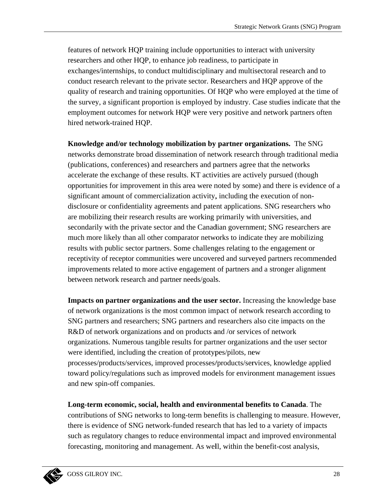features of network HQP training include opportunities to interact with university researchers and other HQP, to enhance job readiness, to participate in exchanges/internships, to conduct multidisciplinary and multisectoral research and to conduct research relevant to the private sector. Researchers and HQP approve of the quality of research and training opportunities. Of HQP who were employed at the time of the survey, a significant proportion is employed by industry. Case studies indicate that the employment outcomes for network HQP were very positive and network partners often hired network-trained HOP.

Knowledge and/or technology mobilization by partner organizations. The SNG networks demonstrate broad dissemination of network research through traditional media (publications, conferences) and researchers and partners agree that the networks accelerate the exchange of these results. KT activities are actively pursued (though opportunities for improvement in this area were noted by some) and there is evidence of a significant amount of commercialization activity, including the execution of nondisclosure or confidentiality agreements and patent applications. SNG researchers who are mobilizing their research results are working primarily with universities, and secondarily with the private sector and the Canadian government; SNG researchers are much more likely than all other comparator networks to indicate they are mobilizing results with public sector partners. Some challenges relating to the engagement or receptivity of receptor communities were uncovered and surveyed partners recommended improvements related to more active engagement of partners and a stronger alignment between network research and partner needs/goals.

**Impacts on partner organizations and the user sector.** Increasing the knowledge base of network organizations is the most common impact of network research according to SNG partners and researchers; SNG partners and researchers also cite impacts on the R&D of network organizations and on products and /or services of network organizations. Numerous tangible results for partner organizations and the user sector were identified, including the creation of prototypes/pilots, new processes/products/services, improved processes/products/services, knowledge applied toward policy/regulations such as improved models for environment management issues and new spin-off companies.

Long-term economic, social, health and environmental benefits to Canada. The contributions of SNG networks to long-term benefits is challenging to measure. However, there is evidence of SNG network-funded research that has led to a variety of impacts such as regulatory changes to reduce environmental impact and improved environmental forecasting, monitoring and management. As well, within the benefit-cost analysis,

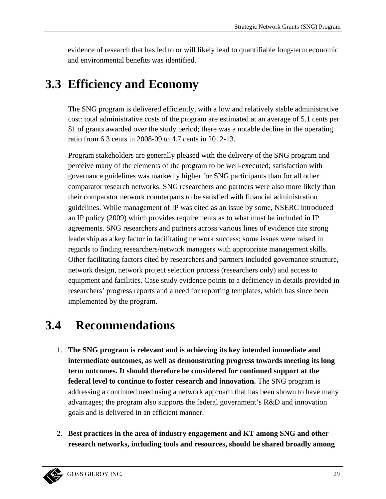evidence of research that has led to or will likely lead to quantifiable long-term economic and environmental benefits was identified.

# 3.3 Efficiency and Economy

The SNG program is delivered efficiently, with a low and relatively stable administrative cost: total administrative costs of the program are estimated at an average of 5.1 cents per \$1 of grants awarded over the study period; there was a notable decline in the operating ratio from 6.3 cents in 2008-09 to 4.7 cents in 2012-13.

Program stakeholders are generally pleased with the delivery of the SNG program and perceive many of the elements of the program to be well-executed; satisfaction with governance guidelines was markedly higher for SNG participants than for all other comparator research networks. SNG researchers and partners were also more likely than their comparator network counterparts to be satisfied with financial administration guidelines. While management of IP was cited as an issue by some, NSERC introduced an IP policy (2009) which provides requirements as to what must be included in IP agreements. SNG researchers and partners across various lines of evidence cite strong leadership as a key factor in facilitating network success; some issues were raised in regards to finding researchers/network managers with appropriate management skills. Other facilitating factors cited by researchers and partners included governance structure, network design, network project selection process (researchers only) and access to equipment and facilities. Case study evidence points to a deficiency in details provided in researchers' progress reports and a need for reporting templates, which has since been implemented by the program.

#### $3.4$ **Recommendations**

- 1. The SNG program is relevant and is achieving its key intended immediate and intermediate outcomes, as well as demonstrating progress towards meeting its long term outcomes. It should therefore be considered for continued support at the **federal level to continue to foster research and innovation.** The SNG program is addressing a continued need using a network approach that has been shown to have many advantages; the program also supports the federal government's R&D and innovation goals and is delivered in an efficient manner.
- 2. Best practices in the area of industry engagement and KT among SNG and other research networks, including tools and resources, should be shared broadly among